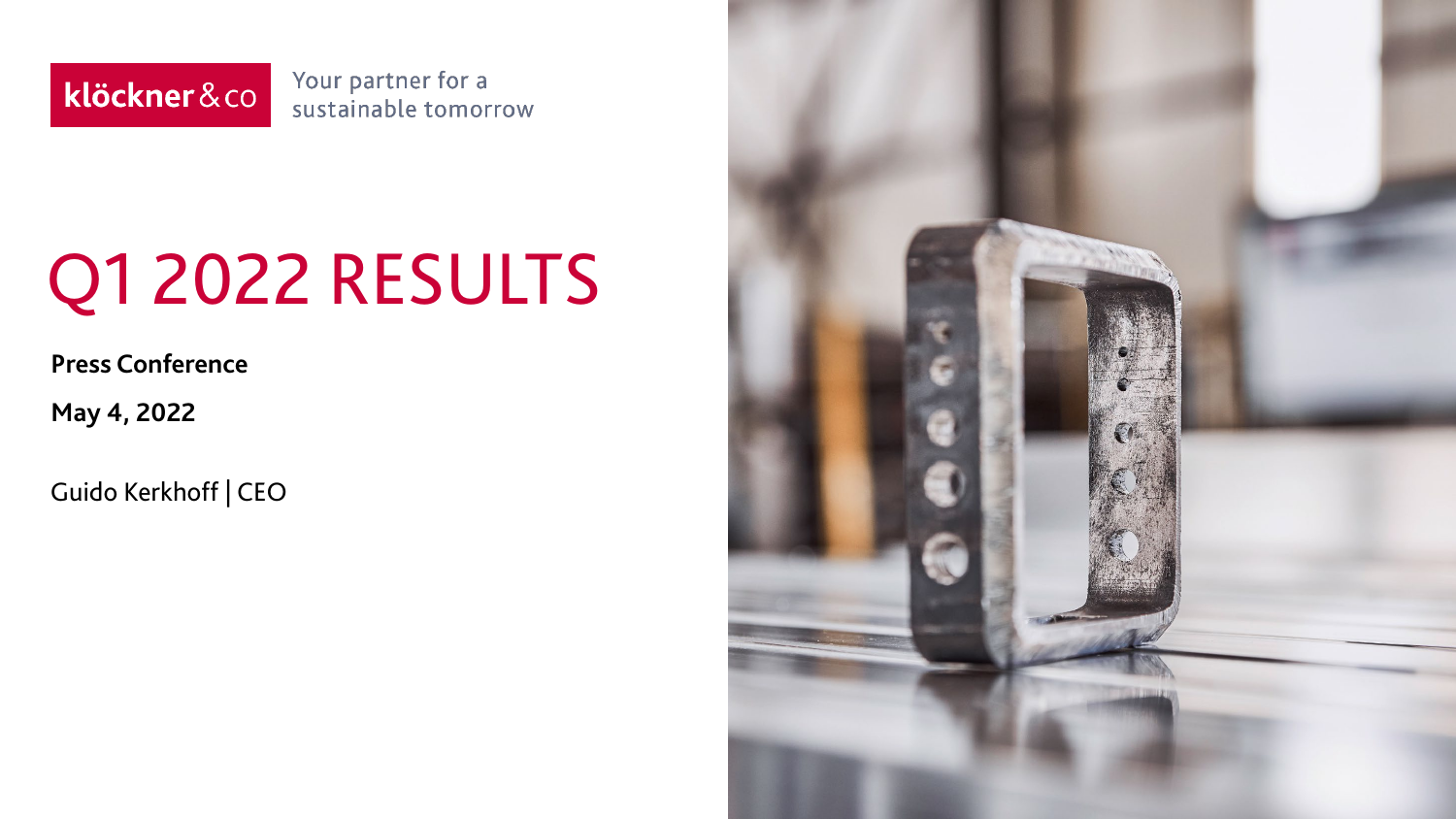klöckner&co

Your partner for a sustainable tomorrow

# Q1 2022 RESULTS

**Press Conference**

**May 4, 2022**

Guido Kerkhoff | CEO

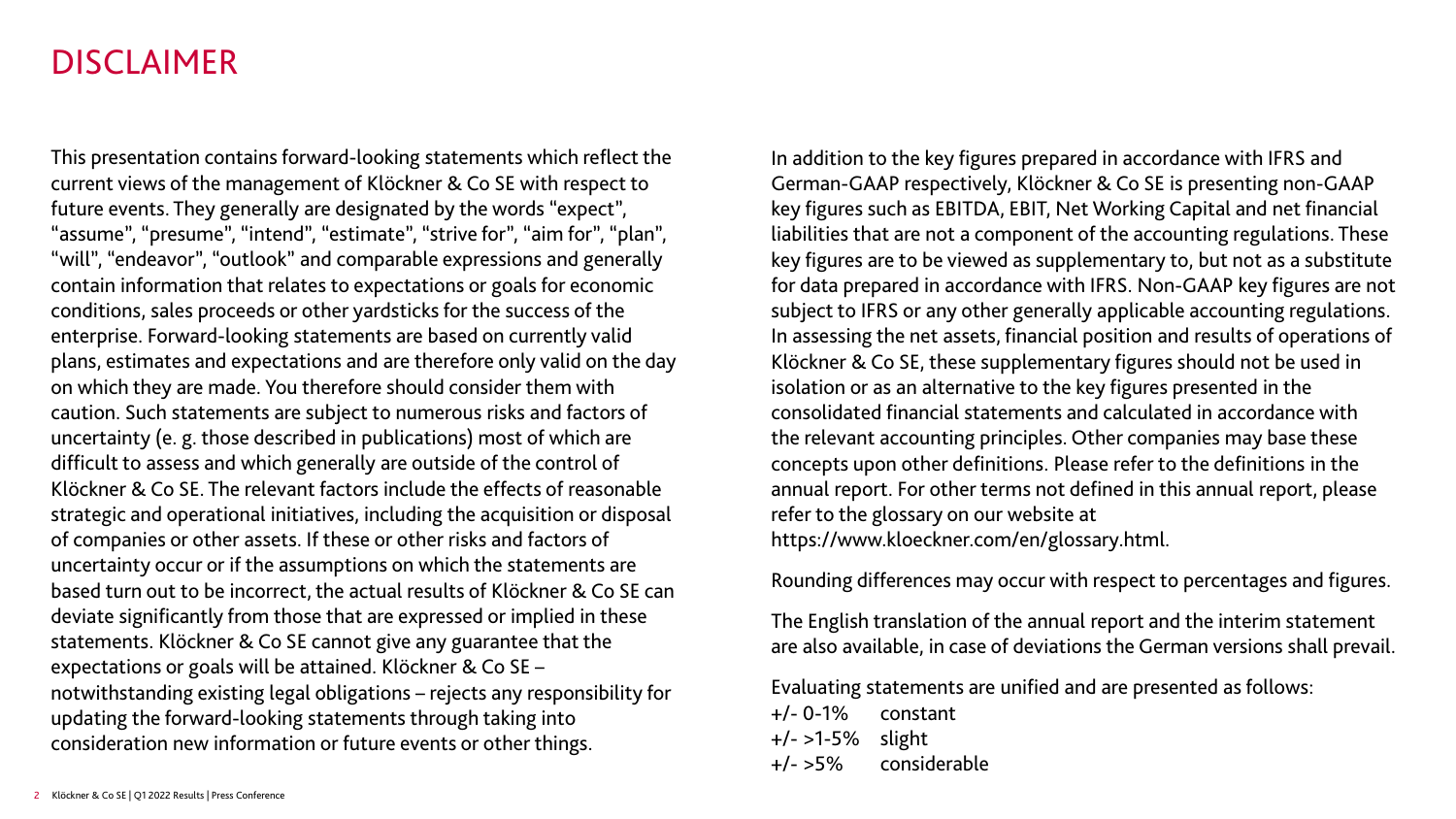#### DISCLAIMER

This presentation contains forward-looking statements which reflect the current views of the management of Klöckner & Co SE with respect to future events. They generally are designated by the words "expect", "assume", "presume", "intend", "estimate", "strive for", "aim for", "plan", "will", "endeavor", "outlook" and comparable expressions and generally contain information that relates to expectations or goals for economic conditions, sales proceeds or other yardsticks for the success of the enterprise. Forward-looking statements are based on currently valid plans, estimates and expectations and are therefore only valid on the day on which they are made. You therefore should consider them with caution. Such statements are subject to numerous risks and factors of uncertainty (e. g. those described in publications) most of which are difficult to assess and which generally are outside of the control of Klöckner & Co SE. The relevant factors include the effects of reasonable strategic and operational initiatives, including the acquisition or disposal of companies or other assets. If these or other risks and factors of uncertainty occur or if the assumptions on which the statements are based turn out to be incorrect, the actual results of Klöckner & Co SE can deviate significantly from those that are expressed or implied in these statements. Klöckner & Co SE cannot give any guarantee that the expectations or goals will be attained. Klöckner & Co SE – notwithstanding existing legal obligations – rejects any responsibility for updating the forward-looking statements through taking into consideration new information or future events or other things.

In addition to the key figures prepared in accordance with IFRS and German-GAAP respectively, Klöckner & Co SE is presenting non-GAAP key figures such as EBITDA, EBIT, Net Working Capital and net financial liabilities that are not a component of the accounting regulations. These key figures are to be viewed as supplementary to, but not as a substitute for data prepared in accordance with IFRS. Non-GAAP key figures are not subject to IFRS or any other generally applicable accounting regulations. In assessing the net assets, financial position and results of operations of Klöckner & Co SE, these supplementary figures should not be used in isolation or as an alternative to the key figures presented in the consolidated financial statements and calculated in accordance with the relevant accounting principles. Other companies may base these concepts upon other definitions. Please refer to the definitions in the annual report. For other terms not defined in this annual report, please refer to the glossary on our website at https://www.kloeckner.com/en/glossary.html.

Rounding differences may occur with respect to percentages and figures.

The English translation of the annual report and the interim statement are also available, in case of deviations the German versions shall prevail.

Evaluating statements are unified and are presented as follows:

+/- 0-1% constant +/- >1-5% slight +/- >5% considerable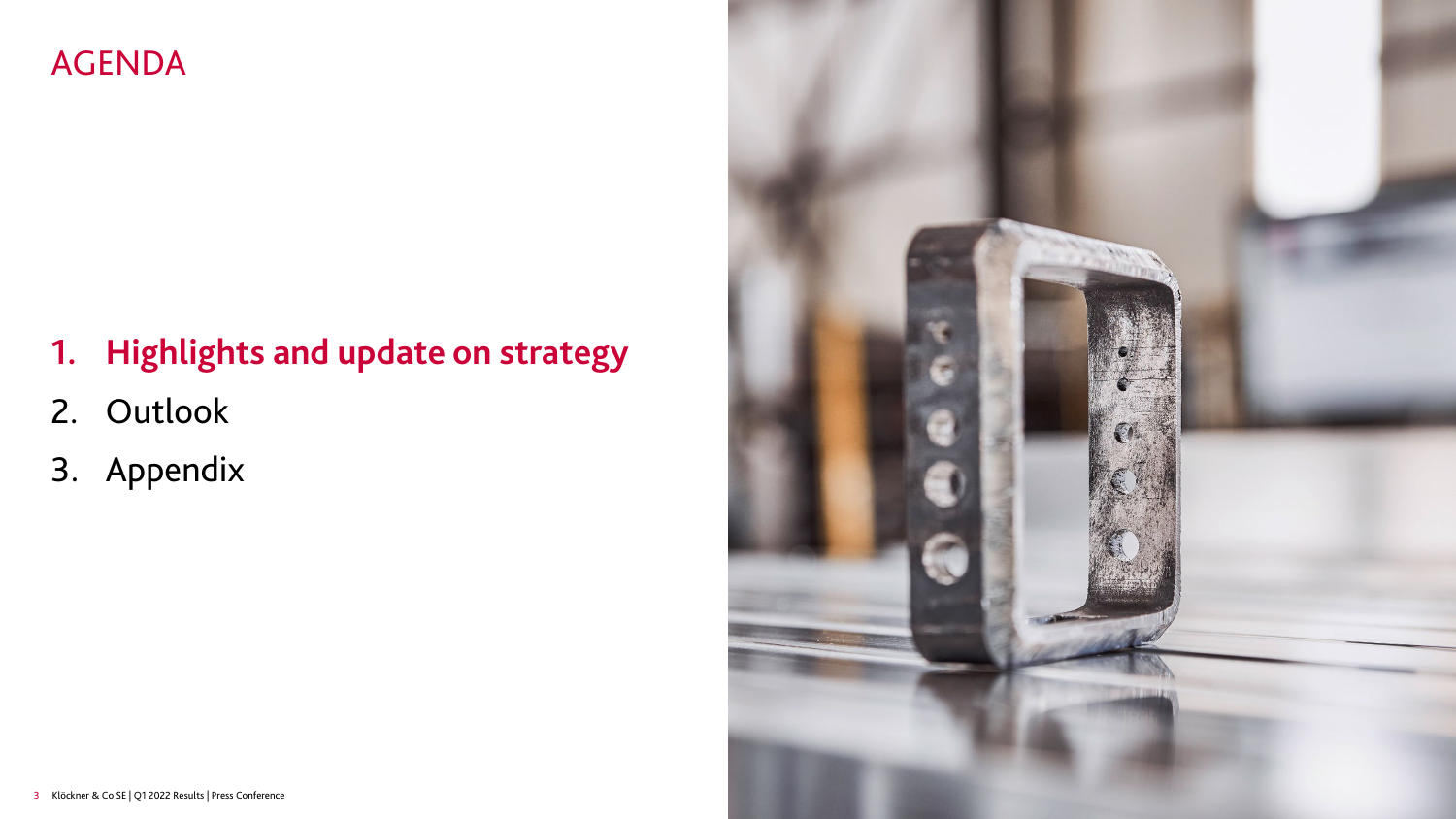## AGENDA

# **1. Highlights and update on strategy**

- 2. Outlook
- 3. Appendix

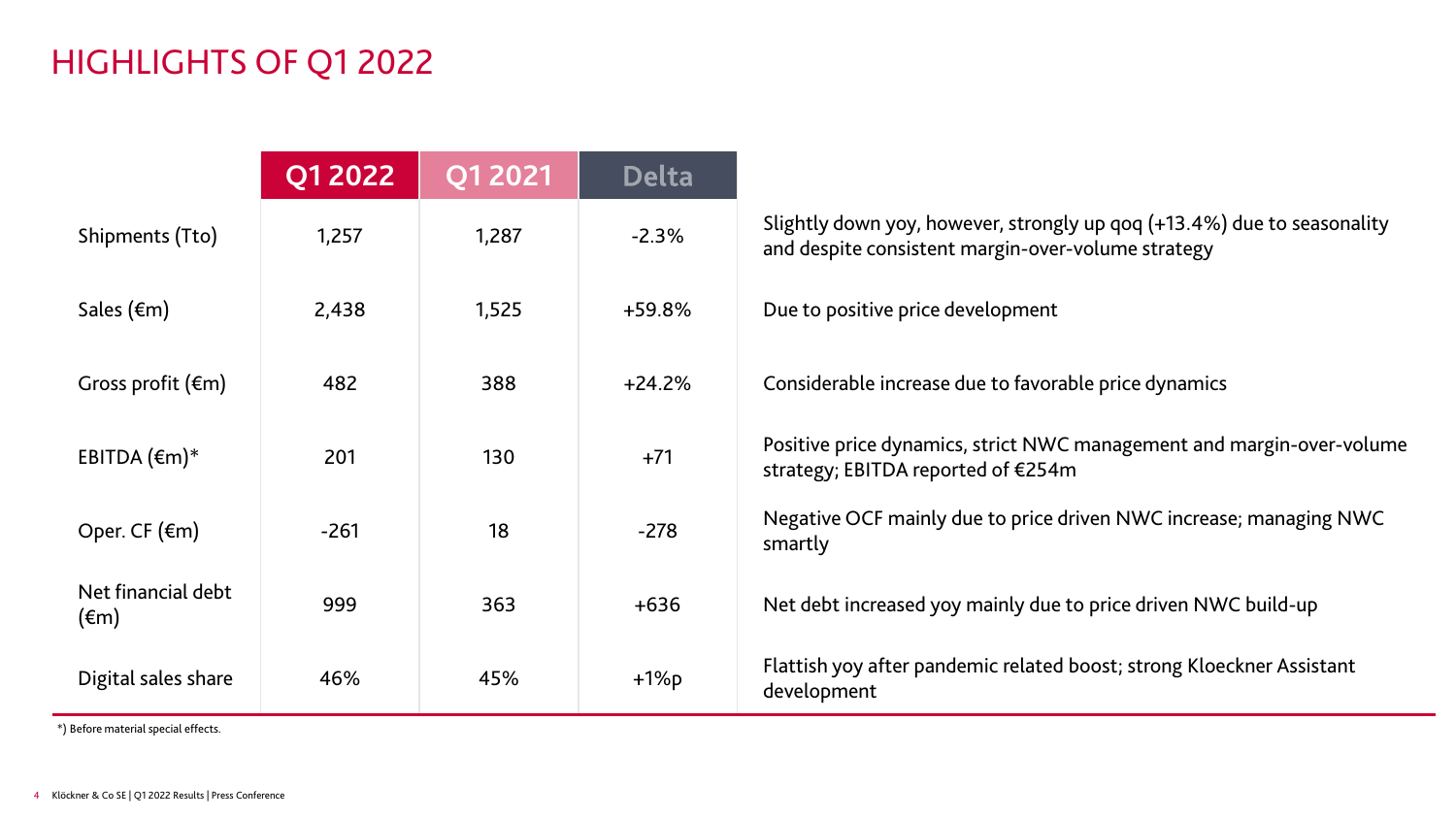# HIGHLIGHTS OF Q1 2022

|                                      | <b>Q1 2022</b> | Q1 2021 | <b>Delta</b> |                                                                                                                               |
|--------------------------------------|----------------|---------|--------------|-------------------------------------------------------------------------------------------------------------------------------|
| Shipments (Tto)                      | 1,257          | 1,287   | $-2.3%$      | Slightly down yoy, however, strongly up qoq (+13.4%) due to seasonality<br>and despite consistent margin-over-volume strategy |
| Sales $(\epsilon m)$                 | 2,438          | 1,525   | $+59.8%$     | Due to positive price development                                                                                             |
| Gross profit $(\epsilon m)$          | 482            | 388     | $+24.2%$     | Considerable increase due to favorable price dynamics                                                                         |
| EBITDA $(\epsilon m)^*$              | 201            | 130     | $+71$        | Positive price dynamics, strict NWC management and margin-over-volume<br>strategy; EBITDA reported of €254m                   |
| Oper. CF $(\epsilon m)$              | $-261$         | 18      | $-278$       | Negative OCF mainly due to price driven NWC increase; managing NWC<br>smartly                                                 |
| Net financial debt<br>$(\epsilon m)$ | 999            | 363     | $+636$       | Net debt increased yoy mainly due to price driven NWC build-up                                                                |
| Digital sales share                  | 46%            | 45%     | $+1\%p$      | Flattish yoy after pandemic related boost; strong Kloeckner Assistant<br>development                                          |

\*) Before material special effects.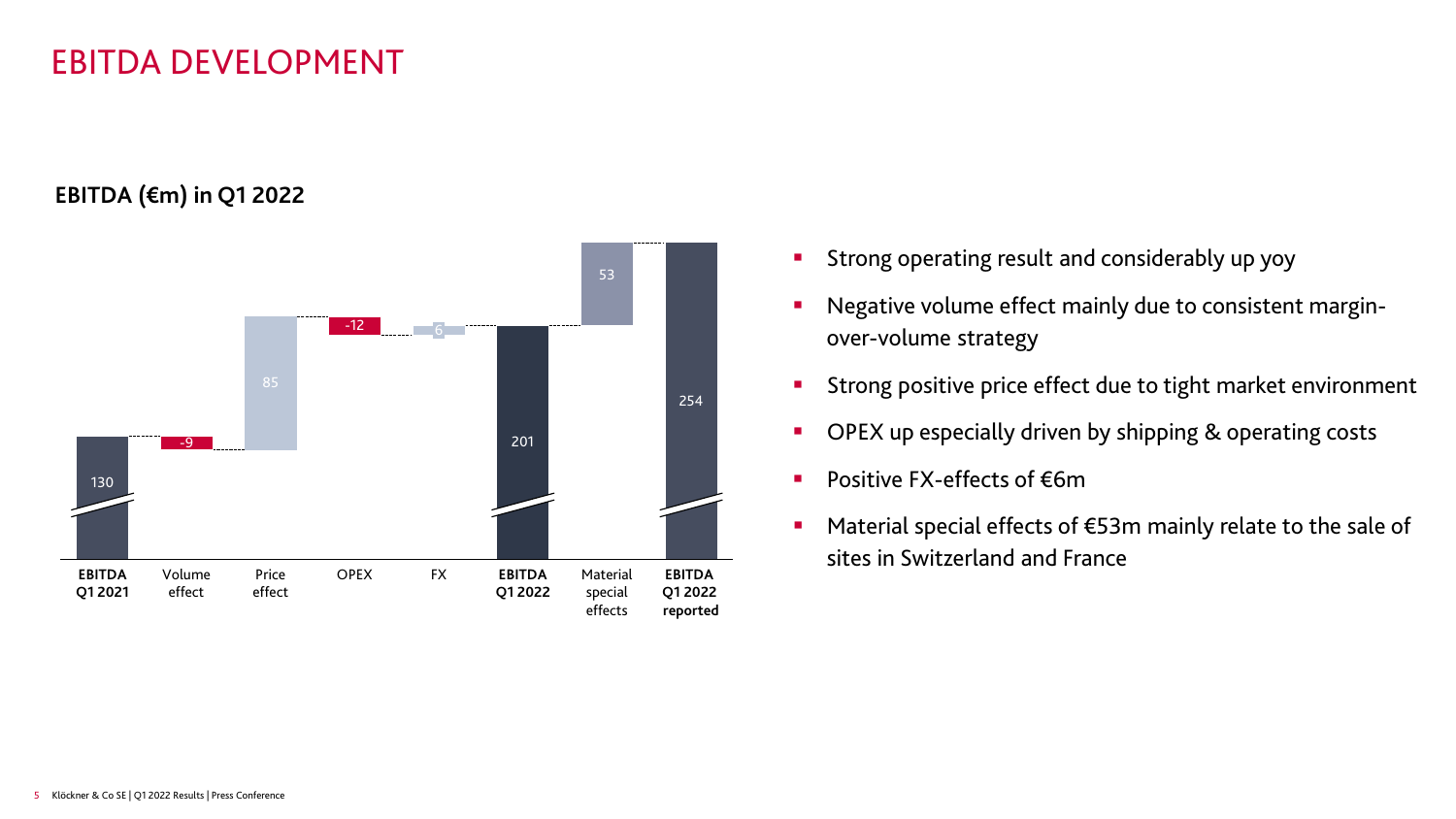#### EBITDA DEVELOPMENT

**EBITDA (€m) in Q1 2022**



- Strong operating result and considerably up yoy
- Negative volume effect mainly due to consistent marginover-volume strategy
- **Strong positive price effect due to tight market environment**
- OPEX up especially driven by shipping & operating costs
- Positive FX-effects of €6m
- Material special effects of €53m mainly relate to the sale of sites in Switzerland and France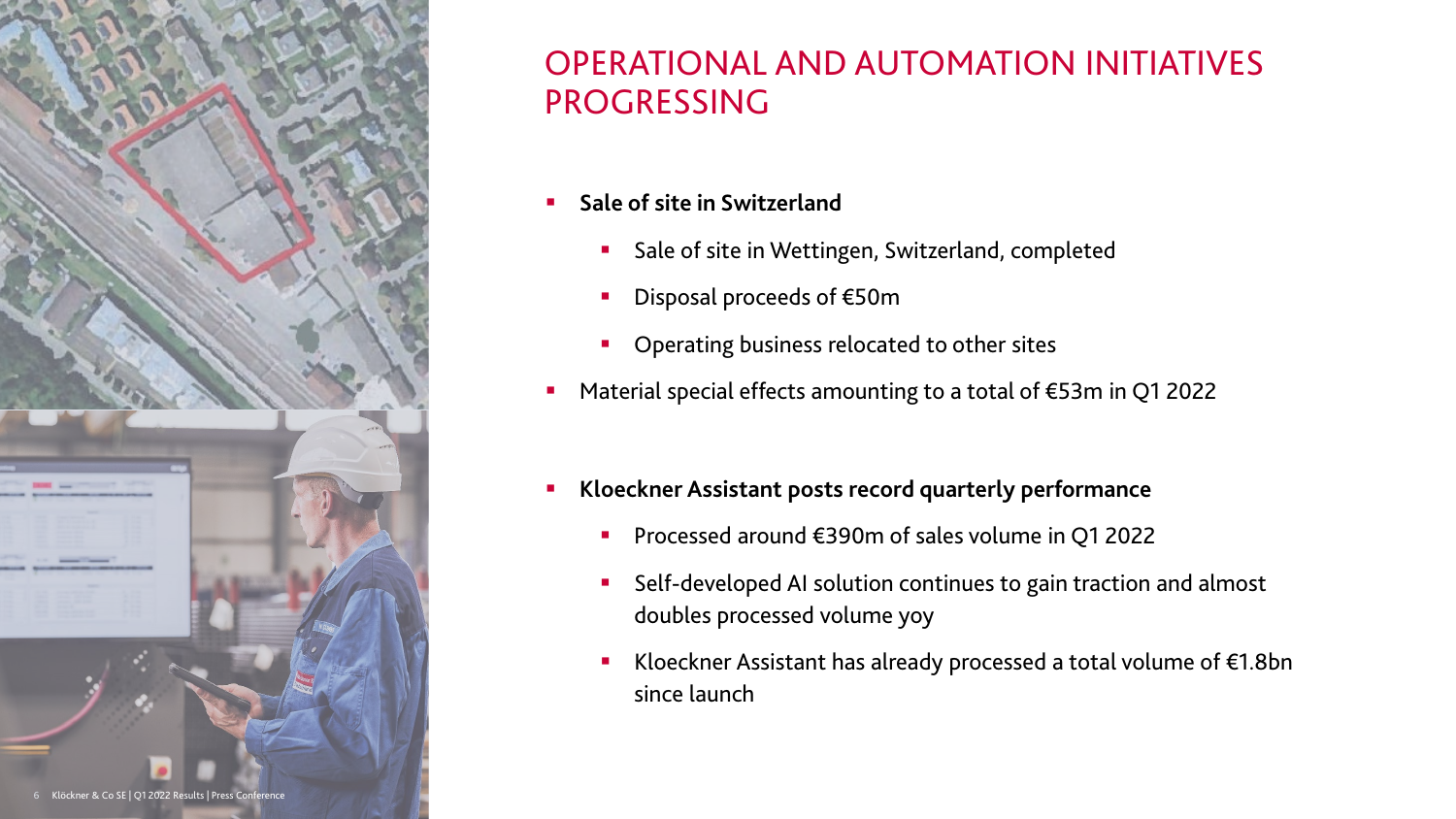

## OPERATIONAL AND AUTOMATION INITIATIVES PROGRESSING

- **Sale of site in Switzerland** 
	- **Sale of site in Wettingen, Switzerland, completed**
	- Disposal proceeds of €50m
	- Operating business relocated to other sites
- Material special effects amounting to a total of €53m in Q1 2022
- **Kloeckner Assistant posts record quarterly performance**
	- Processed around €390m of sales volume in Q1 2022
	- Self-developed AI solution continues to gain traction and almost doubles processed volume yoy
	- Kloeckner Assistant has already processed a total volume of €1.8bn since launch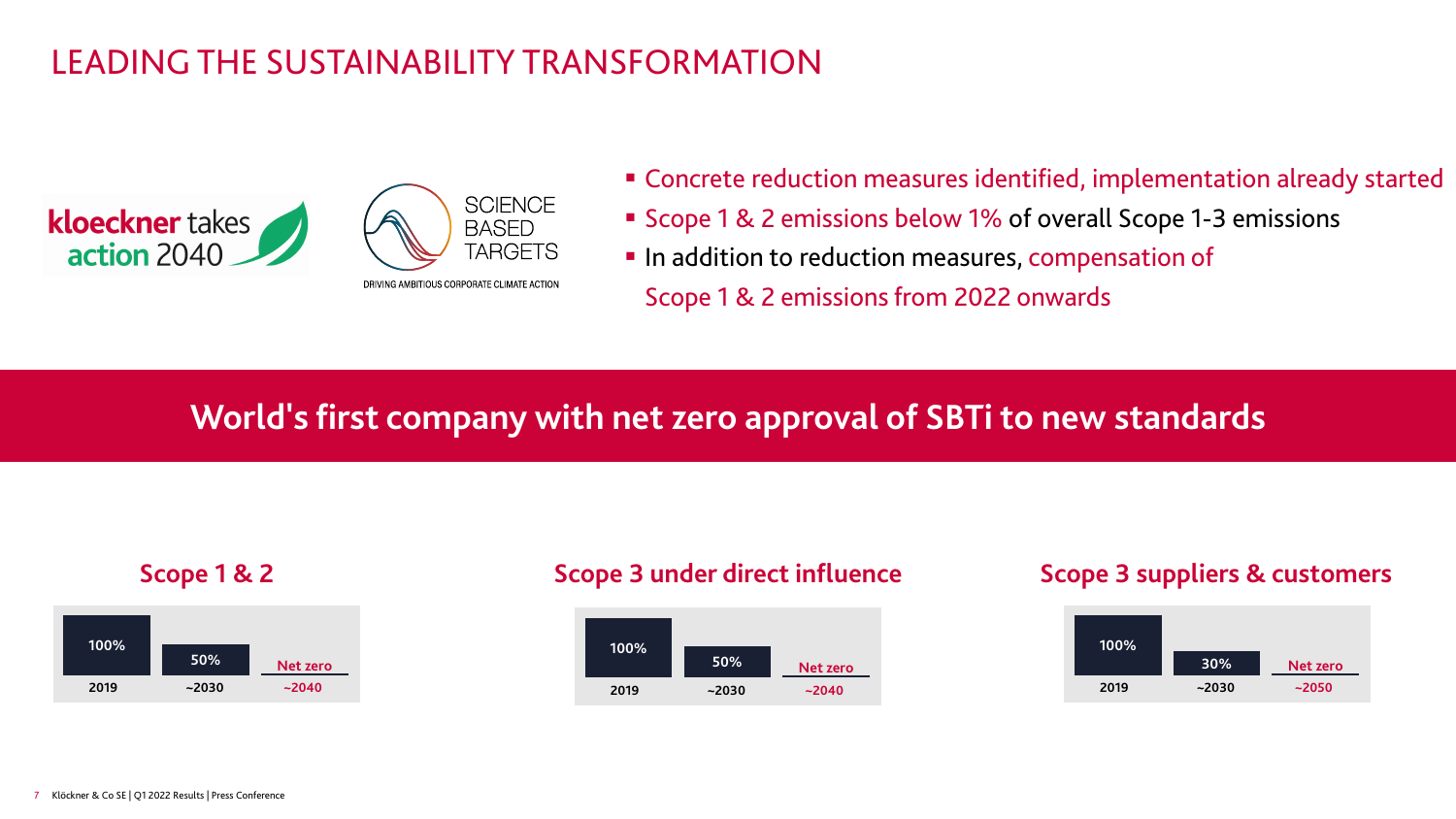## LEADING THE SUSTAINABILITY TRANSFORMATION





- Concrete reduction measures identified, implementation already started
- Scope 1 & 2 emissions below 1% of overall Scope 1-3 emissions
- In addition to reduction measures, compensation of Scope 1 & 2 emissions from 2022 onwards

# **World's first company with net zero approval of SBTi to new standards**





#### **Scope 1 & 2 Scope 3 under direct influence Scope 3 suppliers & customers**

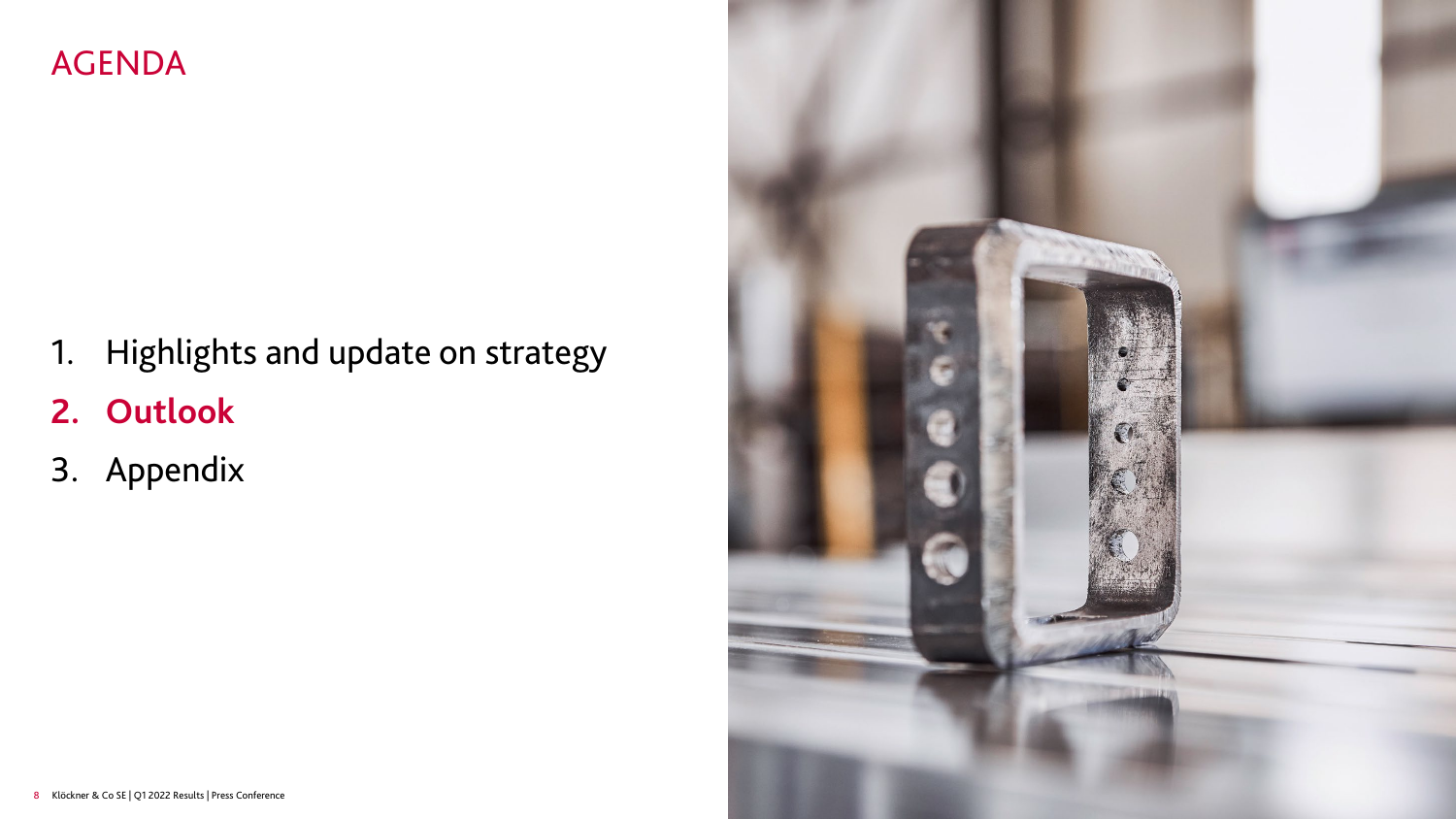### AGENDA

- 1. Highlights and update on strategy
- **2. Outlook**
- 3. Appendix

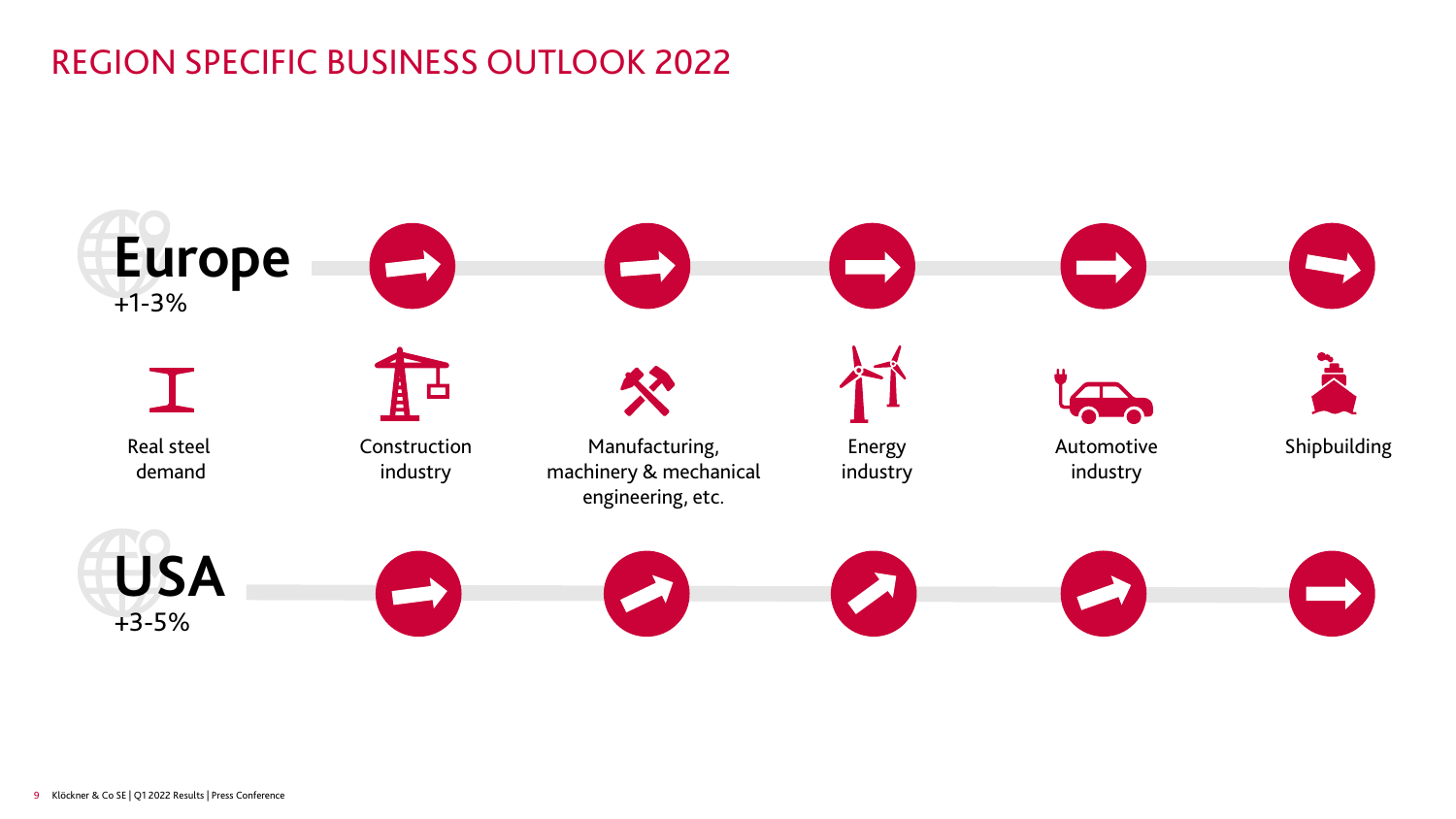# REGION SPECIFIC BUSINESS OUTLOOK 2022

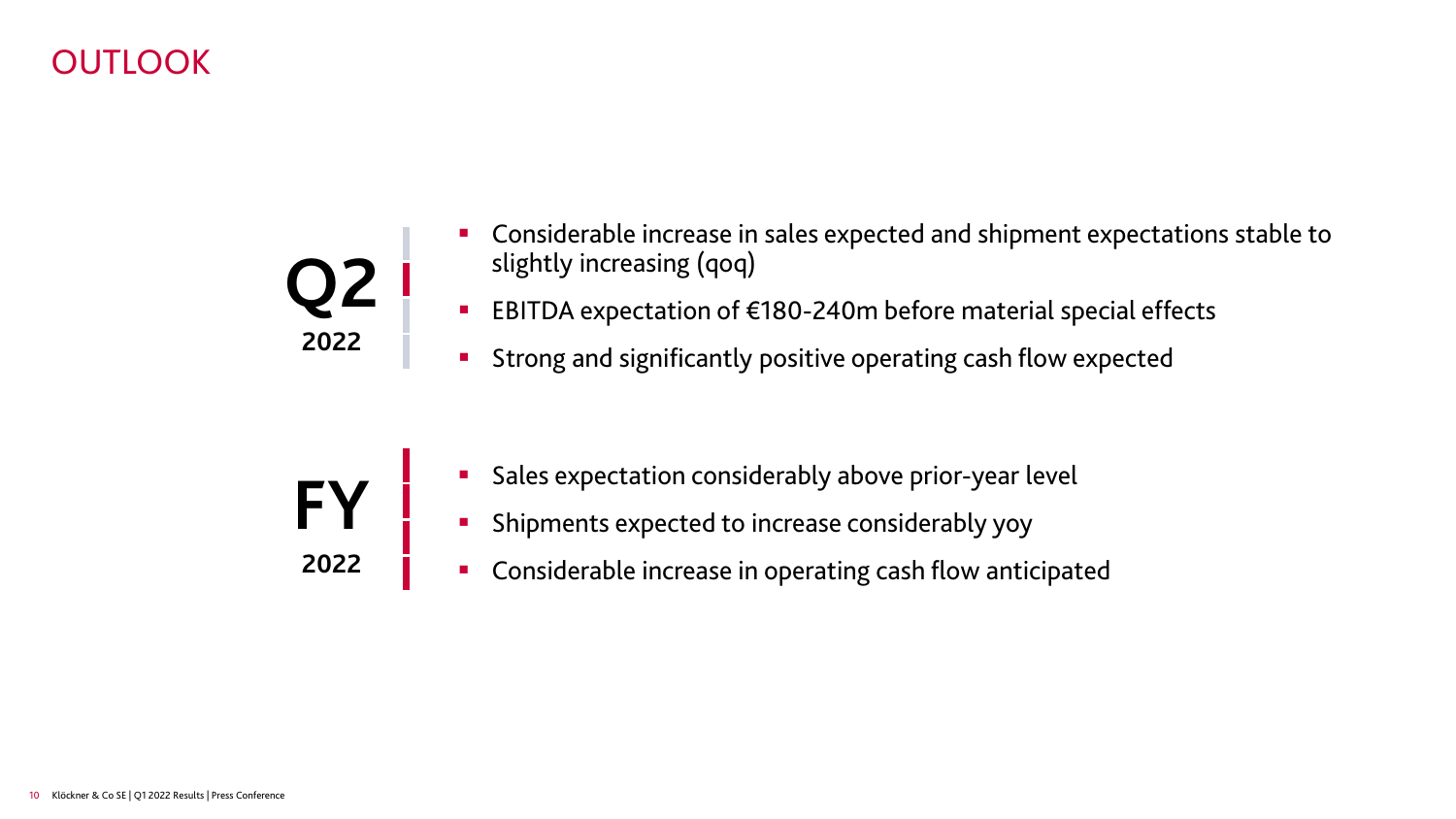### OUTLOOK



- Considerable increase in sales expected and shipment expectations stable to slightly increasing (qoq)
- EBITDA expectation of €180-240m before material special effects
- **Strong and significantly positive operating cash flow expected**
- **FY 2022**
- Sales expectation considerably above prior-year level
- **EXP** Shipments expected to increase considerably yoy
- **•** Considerable increase in operating cash flow anticipated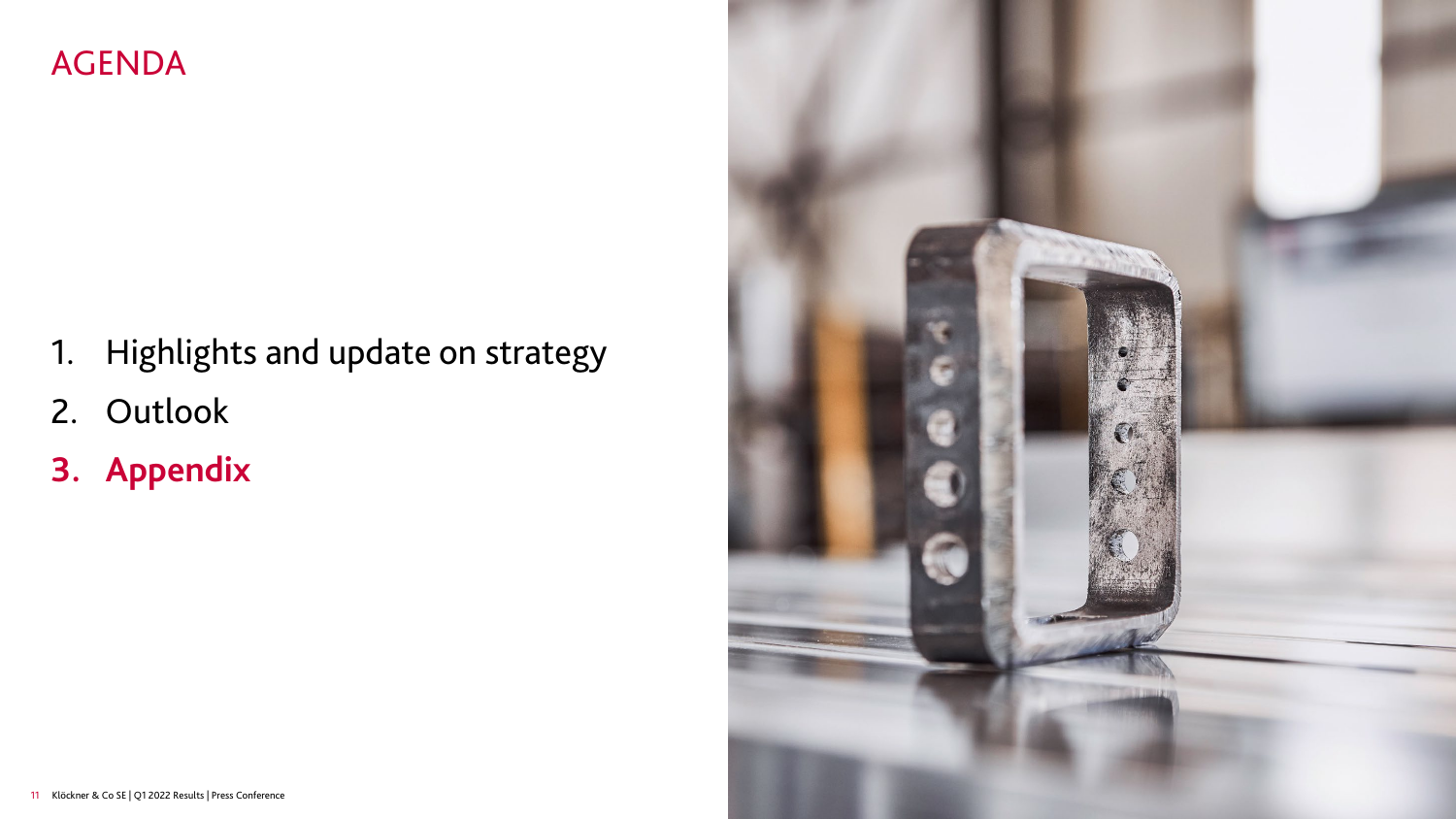### AGENDA

- 1. Highlights and update on strategy
- 2. Outlook
- **3. Appendix**

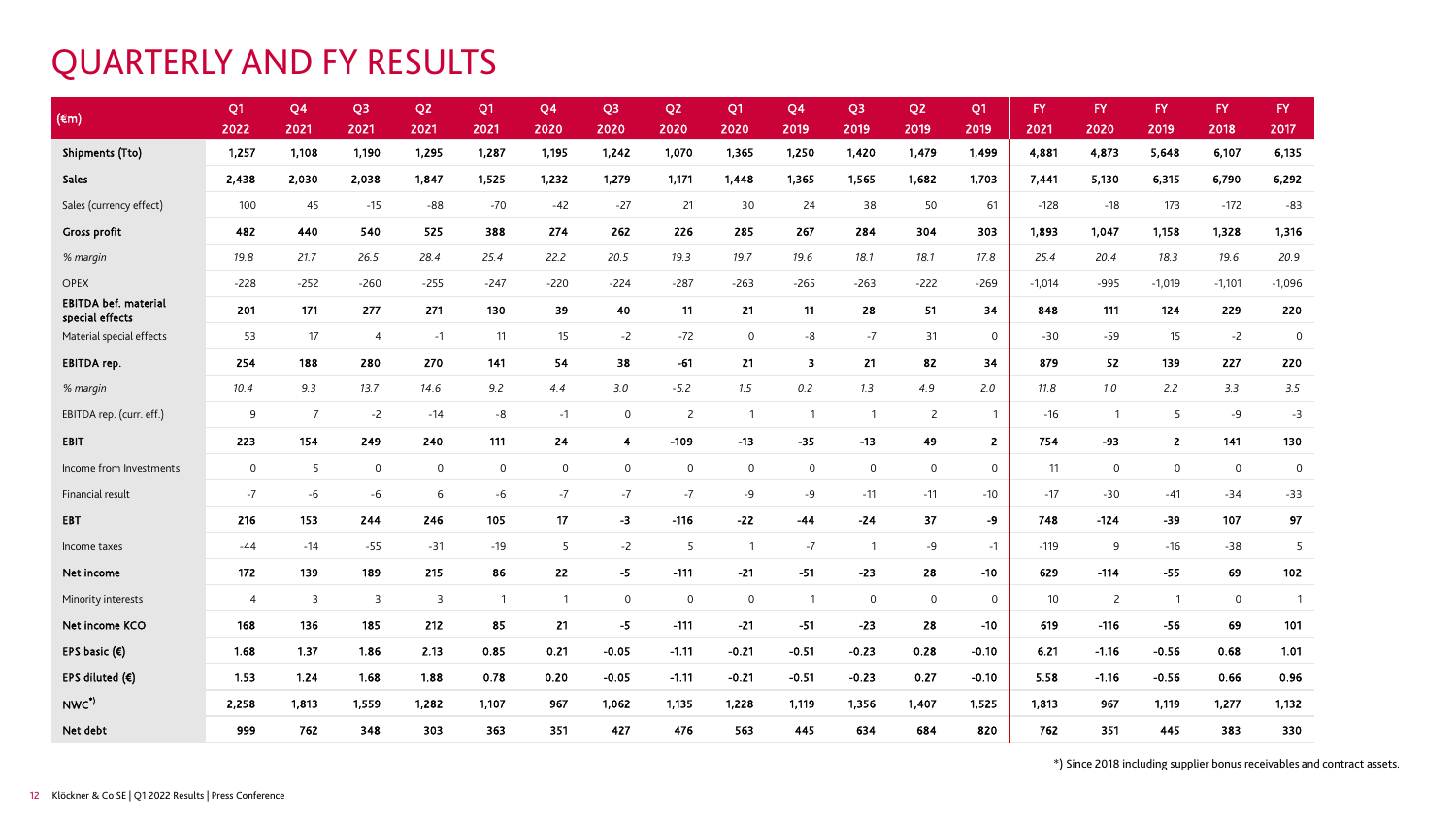#### QUARTERLY AND FY RESULTS

| $(\epsilon m)$                                 | Q <sub>1</sub> | Q <sub>4</sub> | Q <sub>3</sub>      | Q <sub>2</sub>      | Q <sub>1</sub> | Q4             | Q <sub>3</sub> | Q <sub>2</sub> | Q <sub>1</sub> | Q <sub>4</sub>      | Q <sub>3</sub> | Q <sub>2</sub>      | Q1             | FY.             | <b>FY</b>      | <b>FY</b>      | FY.          | FY.            |
|------------------------------------------------|----------------|----------------|---------------------|---------------------|----------------|----------------|----------------|----------------|----------------|---------------------|----------------|---------------------|----------------|-----------------|----------------|----------------|--------------|----------------|
|                                                | 2022           | 2021           | 2021                | 2021                | 2021           | 2020           | 2020           | 2020           | 2020           | 2019                | 2019           | 2019                | 2019           | 2021            | 2020           | 2019           | 2018         | 2017           |
| <b>Shipments (Tto)</b>                         | 1,257          | 1,108          | 1,190               | 1,295               | 1,287          | 1,195          | 1,242          | 1,070          | 1,365          | 1,250               | 1,420          | 1,479               | 1,499          | 4,881           | 4,873          | 5,648          | 6,107        | 6,135          |
| Sales                                          | 2,438          | 2,030          | 2,038               | 1,847               | 1,525          | 1,232          | 1,279          | 1,171          | 1,448          | 1,365               | 1,565          | 1,682               | 1,703          | 7,441           | 5,130          | 6,315          | 6,790        | 6,292          |
| Sales (currency effect)                        | 100            | 45             | $-15$               | $-88$               | $-70$          | $-42$          | $-27$          | 21             | 30             | 24                  | 38             | 50                  | 61             | $-128$          | $-18$          | 173            | $-172$       | $-83$          |
| <b>Gross profit</b>                            | 482            | 440            | 540                 | 525                 | 388            | 274            | 262            | 226            | 285            | 267                 | 284            | 304                 | 303            | 1,893           | 1,047          | 1,158          | 1,328        | 1,316          |
| % margin                                       | 19.8           | 21.7           | 26.5                | 28.4                | 25.4           | 22.2           | 20.5           | 19.3           | 19.7           | 19.6                | 18.1           | 18.1                | 17.8           | 25.4            | 20.4           | 18.3           | 19.6         | 20.9           |
| <b>OPEX</b>                                    | $-228$         | $-252$         | $-260$              | $-255$              | $-247$         | $-220$         | $-224$         | $-287$         | $-263$         | $-265$              | $-263$         | $-222$              | $-269$         | $-1,014$        | $-995$         | $-1,019$       | $-1,101$     | $-1,096$       |
| <b>EBITDA bef. material</b><br>special effects | 201            | 171            | 277                 | 271                 | 130            | 39             | 40             | 11             | 21             | 11                  | 28             | 51                  | 34             | 848             | 111            | 124            | 229          | 220            |
| Material special effects                       | 53             | 17             | $\overline{4}$      | $-1$                | 11             | 15             | $-2$           | $-72$          | $\mathbf 0$    | -8                  | $-7$           | 31                  | $\mathbf 0$    | $-30$           | $-59$          | 15             | $-2$         | $\overline{0}$ |
| <b>EBITDA</b> rep.                             | 254            | 188            | 280                 | 270                 | 141            | 54             | 38             | $-61$          | 21             | 3                   | 21             | 82                  | 34             | 879             | 52             | 139            | 227          | 220            |
| % margin                                       | 10.4           | 9.3            | 13.7                | 14.6                | 9.2            | 4.4            | 3.0            | $-5.2$         | 1.5            | 0.2                 | 1.3            | 4.9                 | 2.0            | 11.8            | 7.0            | 2.2            | 3.3          | 3.5            |
| EBITDA rep. (curr. eff.)                       | 9              | $\overline{7}$ | $-2$                | $-14$               | $-8$           | $-1$           | $\mathsf{O}$   | $\overline{2}$ | $\overline{1}$ | $\overline{1}$      | $\overline{1}$ | $\overline{2}$      | $\overline{1}$ | $-16$           | $\overline{1}$ | 5              | $-9$         | $-3$           |
| EBIT                                           | 223            | 154            | 249                 | 240                 | 111            | 24             | $\overline{4}$ | $-109$         | $-13$          | $-35$               | $-13$          | 49                  | $\overline{2}$ | 754             | -93            | $\overline{2}$ | 141          | 130            |
| Income from Investments                        | $\mathbf 0$    | 5              | $\mathsf{O}\xspace$ | $\mathsf{O}\xspace$ | $\mathsf 0$    | $\mathsf{O}$   | $\mathsf{O}$   | $\mathbf 0$    | $\mathsf{O}$   | $\mathsf{O}\xspace$ | $\circ$        | $\mathsf{O}\xspace$ | $\mathbf 0$    | 11              | $\mathbf 0$    | $\mathsf{O}$   | $\mathsf{O}$ | $\mathbf 0$    |
| Financial result                               | $-7$           | $-6$           | $-6$                | 6                   | -6             | $-7$           | $-7$           | $-7$           | -9             | -9                  | $-11$          | $-11$               | $-10$          | $-17$           | $-30$          | $-41$          | $-34$        | $-33$          |
| <b>EBT</b>                                     | 216            | 153            | 244                 | 246                 | 105            | 17             | $-3$           | $-116$         | $-22$          | $-44$               | $-24$          | 37                  | -9             | 748             | $-124$         | $-39$          | 107          | 97             |
| Income taxes                                   | $-44$          | $-14$          | $-55$               | $-31$               | $-19$          | 5              | $-2$           | 5              | $\overline{1}$ | $-7$                | $\overline{1}$ | -9                  | $-1$           | $-119$          | 9              | $-16$          | $-38$        | 5              |
| Net income                                     | 172            | 139            | 189                 | 215                 | 86             | 22             | $-5$           | $-111$         | $-21$          | $-51$               | $-23$          | 28                  | $-10$          | 629             | $-114$         | $-55$          | 69           | 102            |
| Minority interests                             | $\overline{4}$ | $\overline{3}$ | 3                   | 3                   | $\overline{1}$ | $\overline{1}$ | $\mathbf 0$    | $\mathbf 0$    | $\mathsf{O}$   | $\overline{1}$      | $\mathsf{O}$   | $\mathbf 0$         | $\mathbf 0$    | 10 <sup>°</sup> | $\overline{2}$ | $\overline{1}$ | $\mathsf{O}$ | $\overline{1}$ |
| Net income KCO                                 | 168            | 136            | 185                 | 212                 | 85             | 21             | $-5$           | $-111$         | $-21$          | $-51$               | $-23$          | 28                  | $-10$          | 619             | $-116$         | $-56$          | 69           | 101            |
| EPS basic $(\epsilon)$                         | 1.68           | 1.37           | 1.86                | 2.13                | 0.85           | 0.21           | $-0.05$        | $-1.11$        | $-0.21$        | $-0.51$             | $-0.23$        | 0.28                | $-0.10$        | 6.21            | $-1.16$        | $-0.56$        | 0.68         | 1.01           |
| EPS diluted $(E)$                              | 1.53           | 1.24           | 1.68                | 1.88                | 0.78           | 0.20           | $-0.05$        | $-1.11$        | $-0.21$        | $-0.51$             | $-0.23$        | 0.27                | $-0.10$        | 5.58            | $-1.16$        | $-0.56$        | 0.66         | 0.96           |
| NWC*)                                          | 2,258          | 1,813          | 1,559               | 1,282               | 1,107          | 967            | 1,062          | 1,135          | 1,228          | 1,119               | 1,356          | 1,407               | 1,525          | 1,813           | 967            | 1,119          | 1,277        | 1,132          |
| Net debt                                       | 999            | 762            | 348                 | 303                 | 363            | 351            | 427            | 476            | 563            | 445                 | 634            | 684                 | 820            | 762             | 351            | 445            | 383          | 330            |

\*) Since 2018 including supplier bonus receivables and contract assets.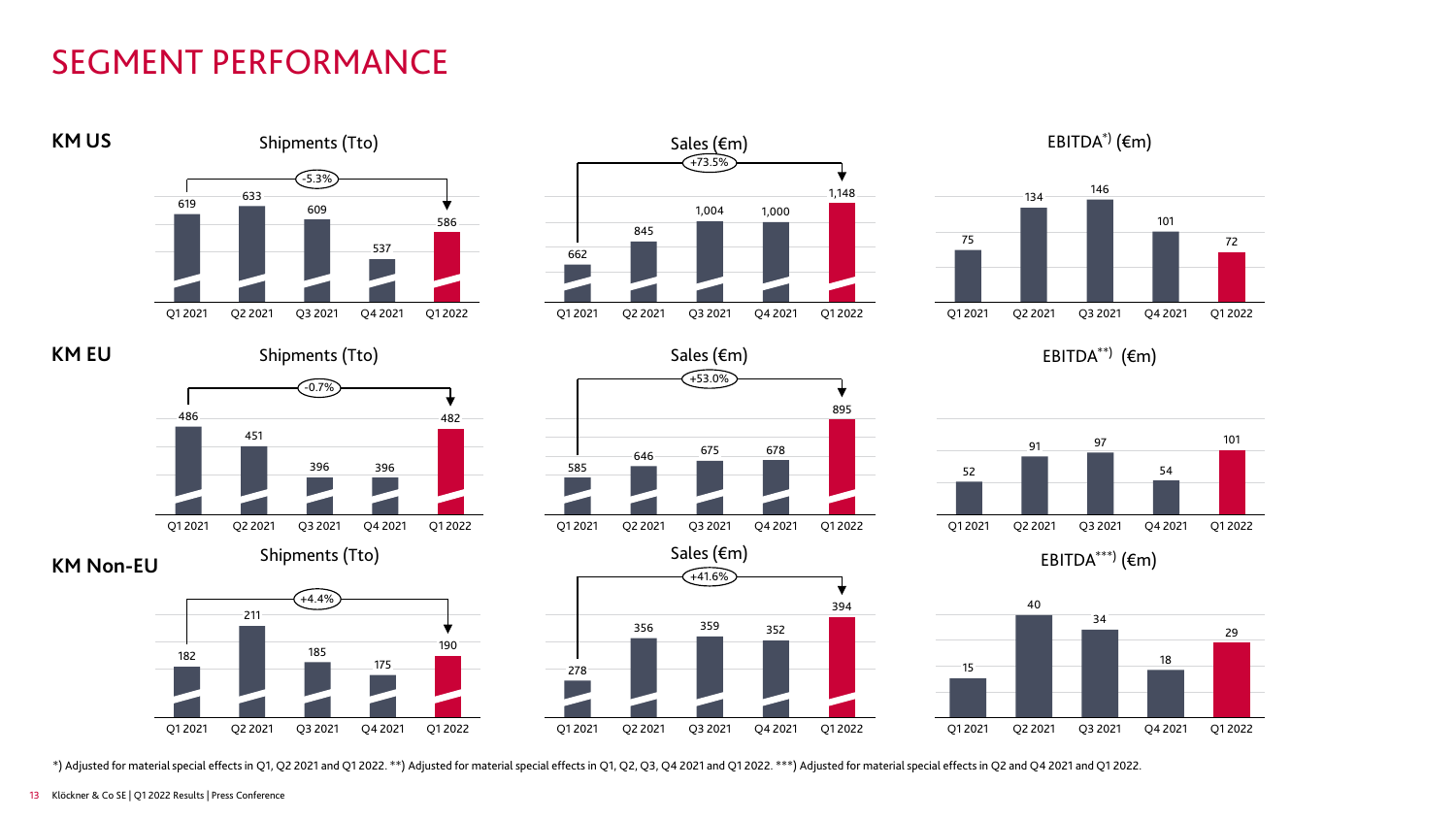# SEGMENT PERFORMANCE



\*) Adjusted for material special effectsin Q1, Q2 2021 and Q1 2022. \*\*) Adjusted for material special effectsin Q1, Q2, Q3, Q4 2021 and Q1 2022. \*\*\*) Adjusted for material special effectsin Q2 and Q4 2021 and Q1 2022.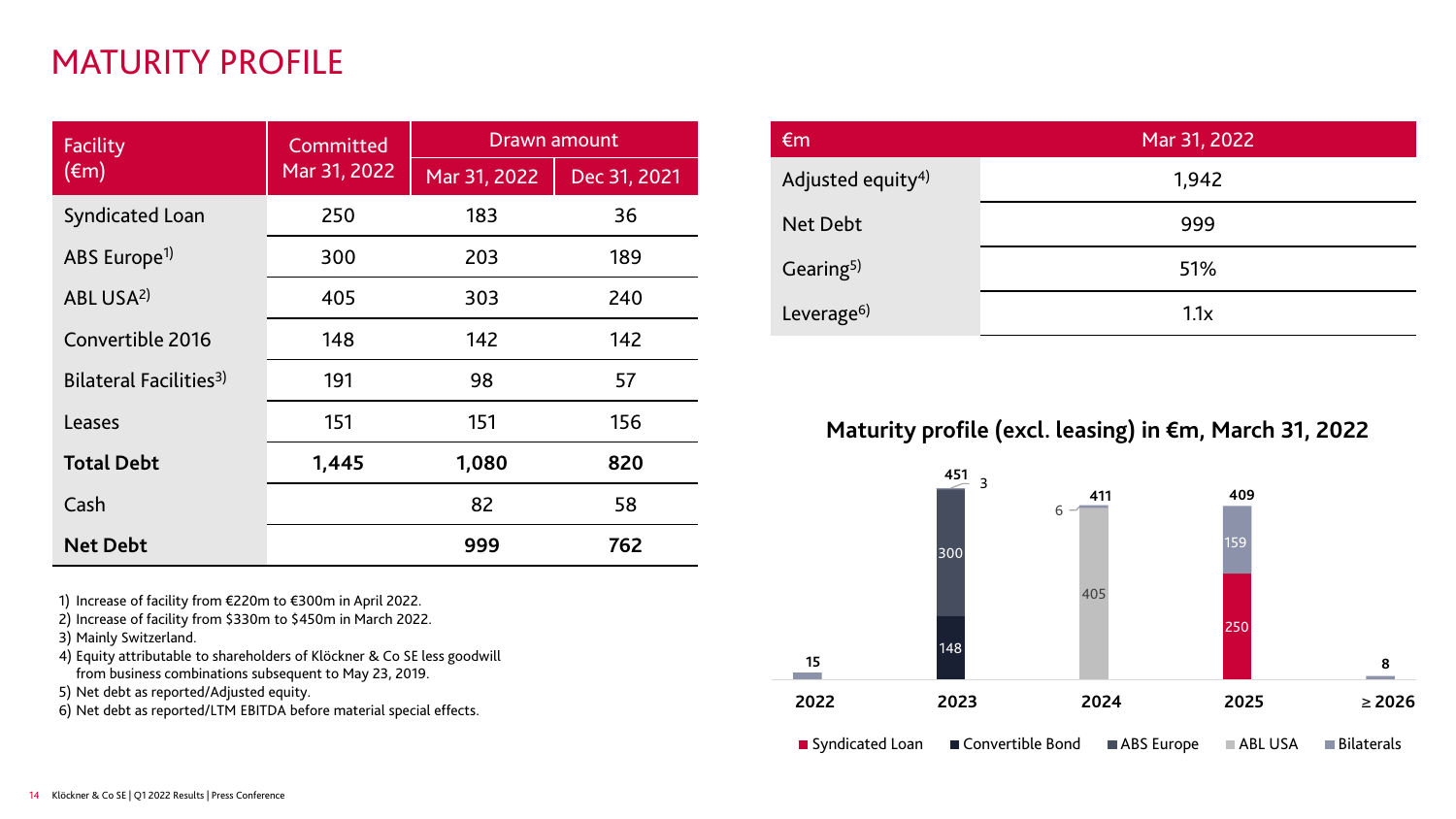# MATURITY PROFILE

| Facility                           | Committed    | <b>Drawn amount</b> |              |  |  |  |  |
|------------------------------------|--------------|---------------------|--------------|--|--|--|--|
| $(\epsilon m)$                     | Mar 31, 2022 | Mar 31, 2022        | Dec 31, 2021 |  |  |  |  |
| <b>Syndicated Loan</b>             | 250          | 183                 | 36           |  |  |  |  |
| ABS Europe <sup>1)</sup>           | 300          | 203                 | 189          |  |  |  |  |
| ABL USA <sup>2)</sup>              | 405          | 303                 | 240          |  |  |  |  |
| Convertible 2016                   | 148          | 142                 | 142          |  |  |  |  |
| Bilateral Facilities <sup>3)</sup> | 191          | 98                  | 57           |  |  |  |  |
| Leases                             | 151          | 151                 | 156          |  |  |  |  |
| <b>Total Debt</b>                  | 1,445        | 1,080               | 820          |  |  |  |  |
| Cash                               |              | 82                  | 58           |  |  |  |  |
| <b>Net Debt</b>                    |              | 999                 | 762          |  |  |  |  |

1) Increase of facility from €220m to €300m in April 2022.

2) Increase of facility from \$330m to \$450m in March 2022.

3) Mainly Switzerland.

4) Equity attributable to shareholders of Klöckner & Co SE less goodwill from business combinations subsequent to May 23, 2019.

5) Net debt as reported/Adjusted equity.

6) Net debt as reported/LTM EBITDA before material special effects.

| $\epsilon$ m                  | Mar 31, 2022 |  |  |  |  |  |
|-------------------------------|--------------|--|--|--|--|--|
| Adjusted equity <sup>4)</sup> | 1,942        |  |  |  |  |  |
| Net Debt                      | 999          |  |  |  |  |  |
| Gearing <sup>5)</sup>         | 51%          |  |  |  |  |  |
| Leverage <sup>6)</sup>        | 1.1x         |  |  |  |  |  |

#### **Maturity profile (excl. leasing) in €m, March 31, 2022**

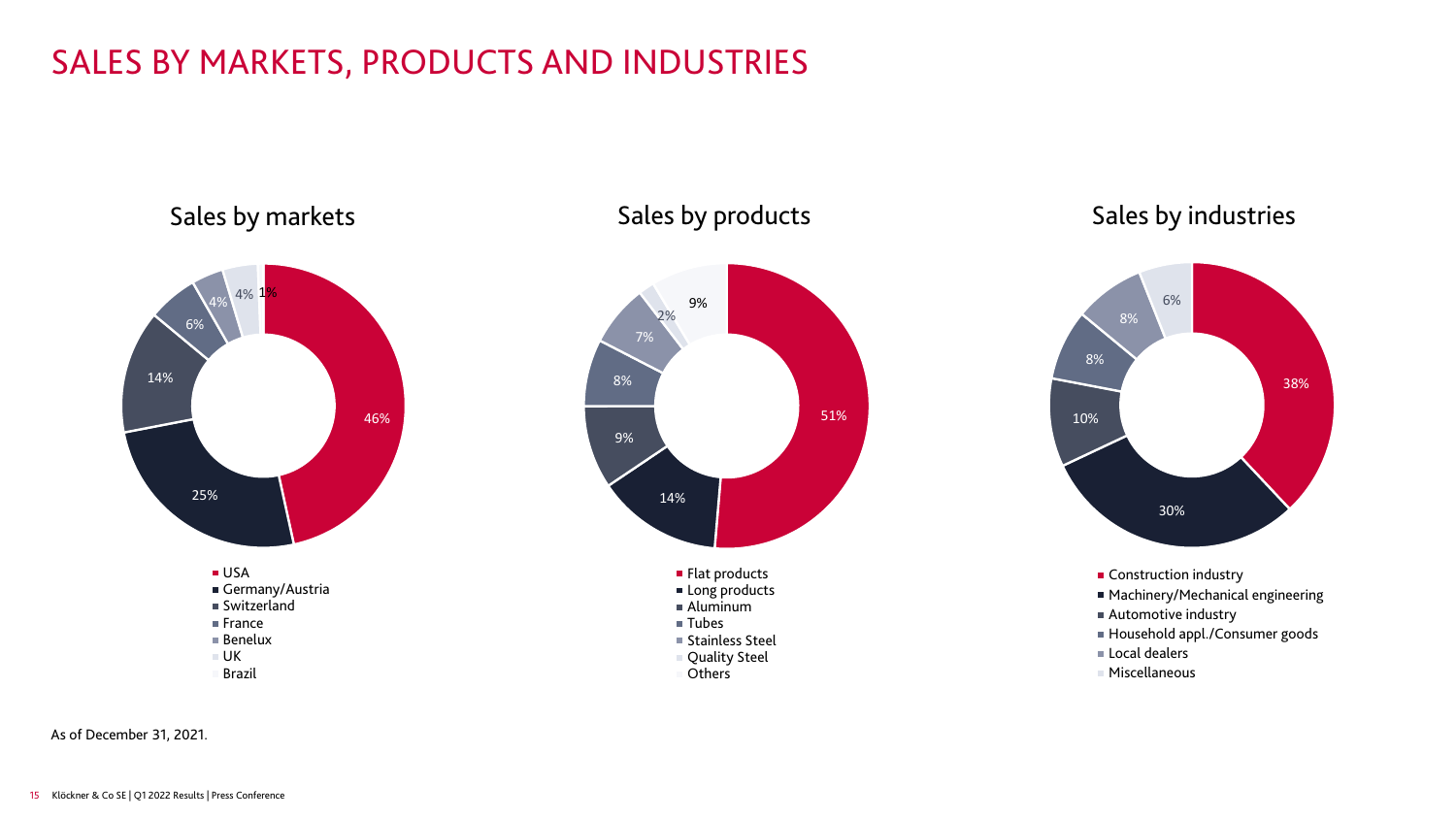# SALES BY MARKETS, PRODUCTS AND INDUSTRIES



#### Sales by products



#### Sales by industries



- **Construction industry**
- Machinery/Mechanical engineering
- Automotive industry
- Household appl./Consumer goods
- **Local dealers**
- Miscellaneous

As of December 31, 2021.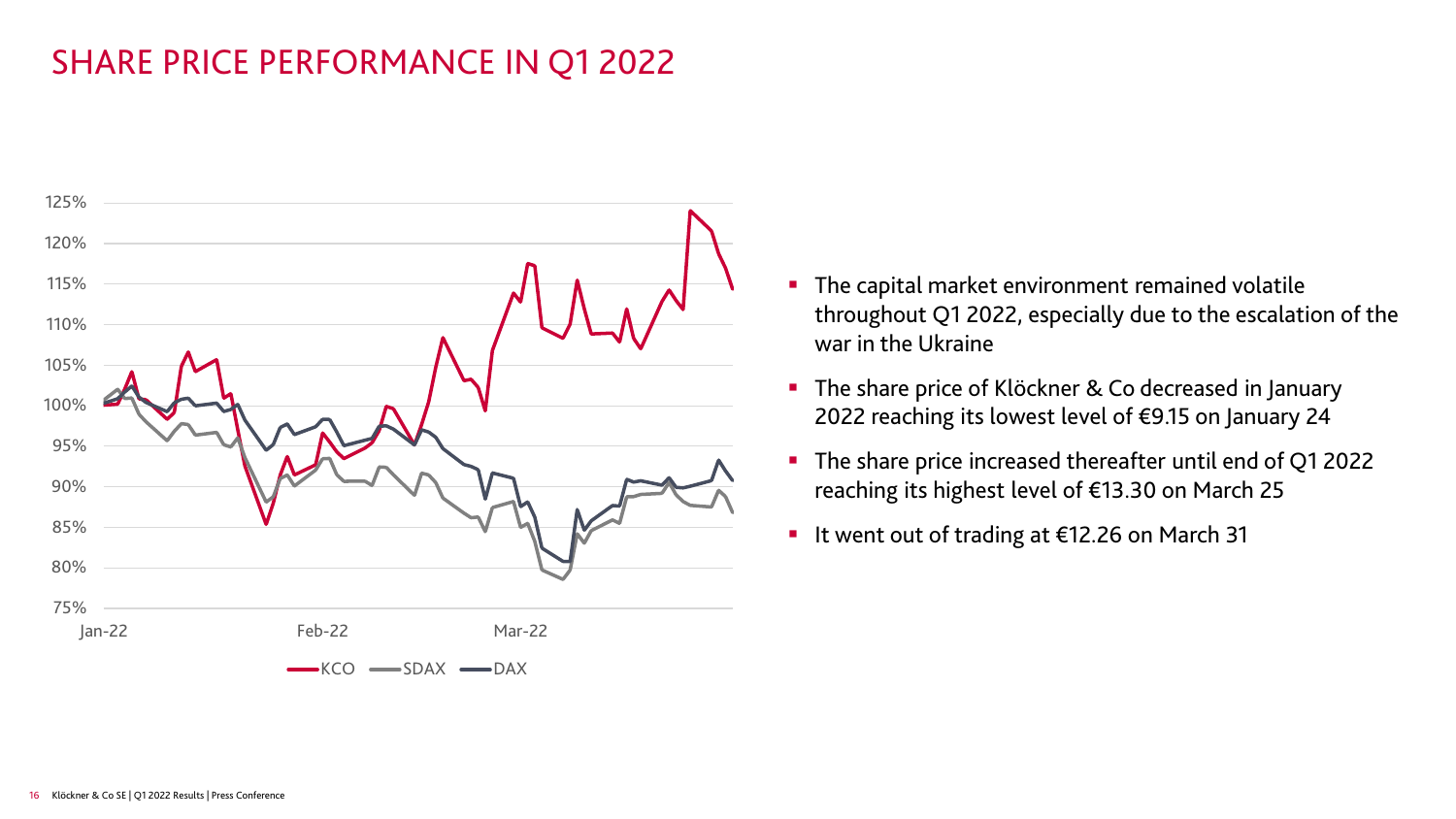# SHARE PRICE PERFORMANCE IN Q1 2022



- **The capital market environment remained volatile** throughout Q1 2022, especially due to the escalation of the war in the Ukraine
- The share price of Klöckner & Co decreased in January 2022 reaching its lowest level of €9.15 on January 24
- The share price increased thereafter until end of Q1 2022 reaching its highest level of €13.30 on March 25
- It went out of trading at €12.26 on March 31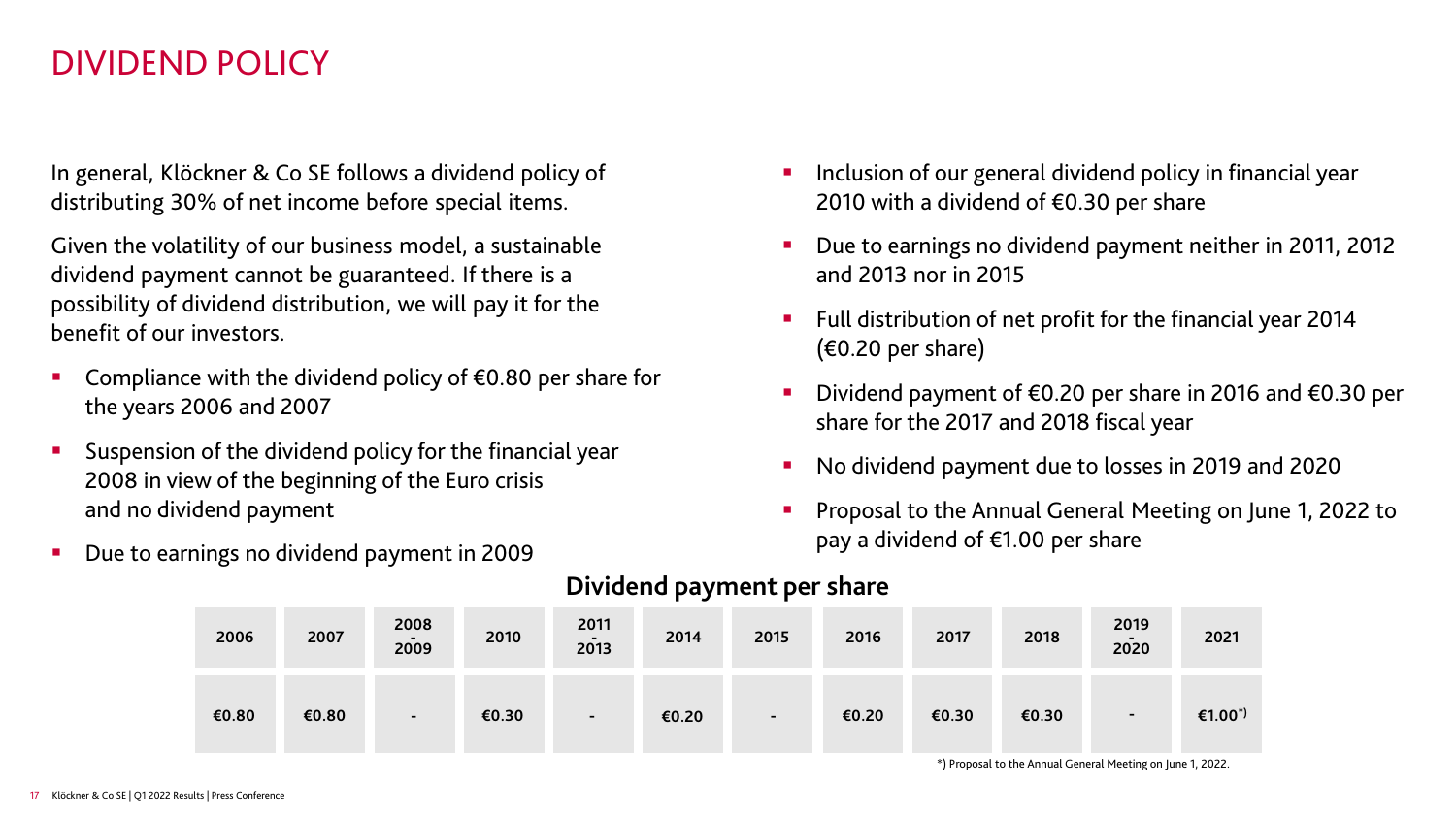#### DIVIDEND POLICY

In general, Klöckner & Co SE follows a dividend policy of distributing 30% of net income before special items.

Given the volatility of our business model, a sustainable dividend payment cannot be guaranteed. If there is a possibility of dividend distribution, we will pay it for the benefit of our investors.

- Compliance with the dividend policy of €0.80 per share for the years 2006 and 2007
- Suspension of the dividend policy for the financial year 2008 in view of the beginning of the Euro crisis and no dividend payment
- Due to earnings no dividend payment in 2009
- Inclusion of our general dividend policy in financial year 2010 with a dividend of  $\epsilon$ 0.30 per share
- Due to earnings no dividend payment neither in 2011, 2012 and 2013 nor in 2015
- **Full distribution of net profit for the financial year 2014**  $(60.20 \text{ per share})$
- Dividend payment of €0.20 per share in 2016 and €0.30 per share for the 2017 and 2018 fiscal year
- No dividend payment due to losses in 2019 and 2020
- **Proposal to the Annual General Meeting on June 1, 2022 to** pay a dividend of €1.00 per share

| 2006  | 2007  | 2008<br>$\overline{\phantom{a}}$<br>2009 | 2010  | 2011<br>$\overline{\phantom{0}}$<br>2013 | 2014  | 2015           | 2016  | 2017  | 2018  | 2019<br>$\blacksquare$<br>2020 | 2021                |
|-------|-------|------------------------------------------|-------|------------------------------------------|-------|----------------|-------|-------|-------|--------------------------------|---------------------|
| €0.80 | €0.80 | $\blacksquare$                           | €0.30 | $\overline{\phantom{a}}$                 | €0.20 | $\blacksquare$ | €0.20 | €0.30 | €0.30 | $\overline{\phantom{a}}$       | €1.00 <sup>*)</sup> |

#### **Dividend payment per share**

\*) Proposal to the Annual General Meeting on June 1, 2022.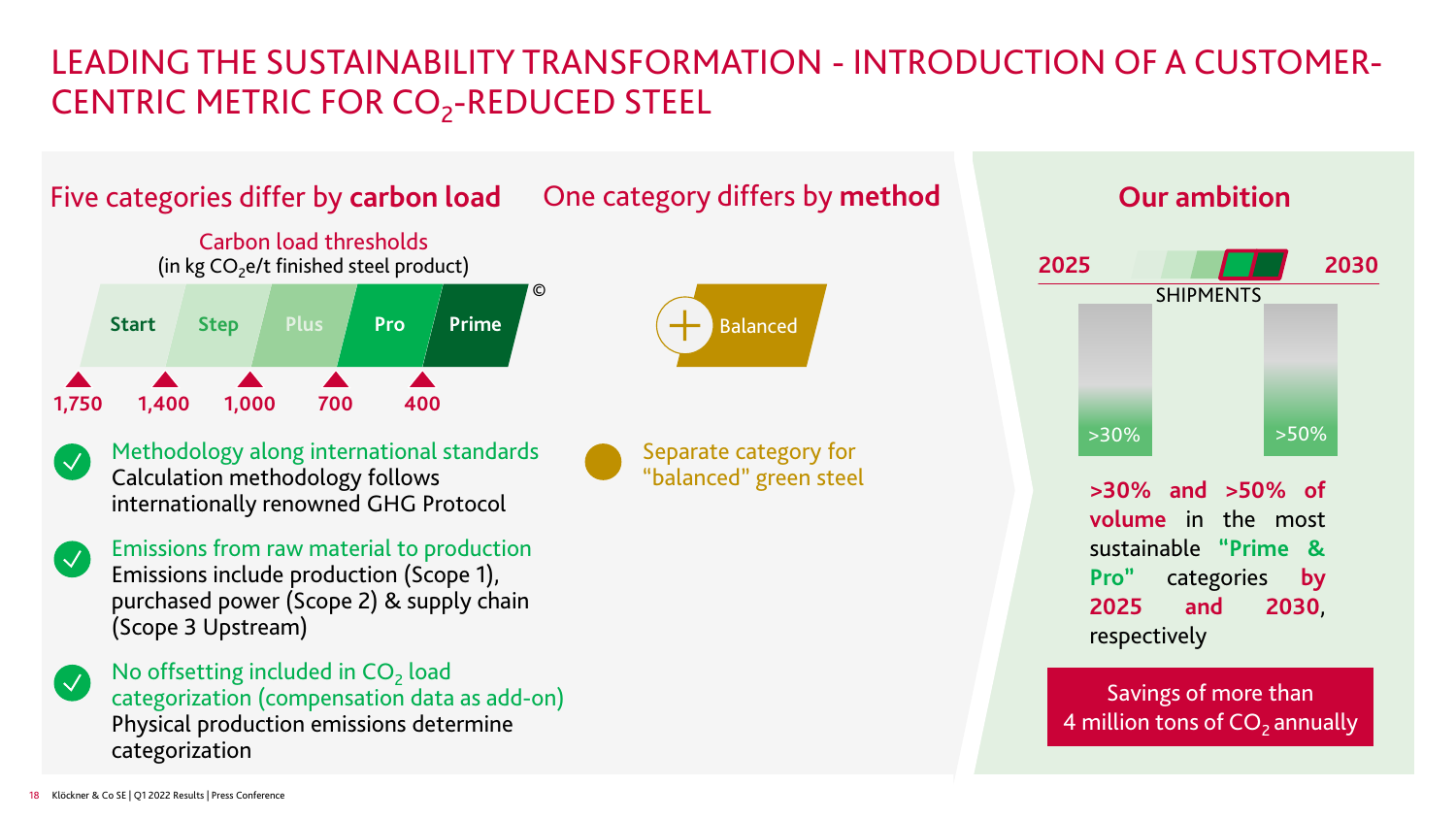# LEADING THE SUSTAINABILITY TRANSFORMATION - INTRODUCTION OF A CUSTOMER-CENTRIC METRIC FOR CO<sub>2</sub>-REDUCED STEEL



Savings of more than **>30% and >50% of volume** in the most sustainable **"Prime & Pro"** categories **by 2025 and 2030**, respectively **2025** SHIPMENTS **2030**  $>30\%$   $>50\%$ **Our ambition**

4 million tons of  $CO<sub>2</sub>$  annually